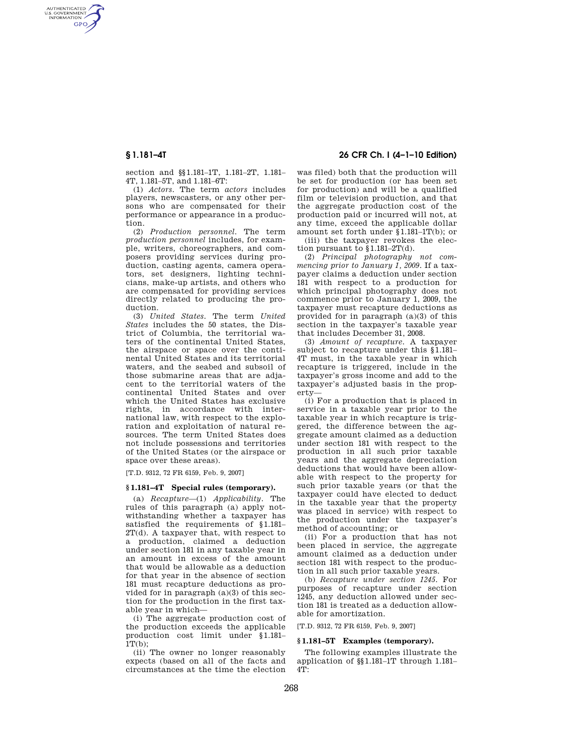AUTHENTICATED<br>U.S. GOVERNMENT<br>INFORMATION **GPO** 

**§ 1.181–4T 26 CFR Ch. I (4–1–10 Edition)** 

section and §§1.181–1T, 1.181–2T, 1.181– 4T, 1.181–5T, and 1.181–6T:

(1) *Actors.* The term *actors* includes players, newscasters, or any other persons who are compensated for their performance or appearance in a production.

(2) *Production personnel.* The term *production personnel* includes, for example, writers, choreographers, and composers providing services during production, casting agents, camera operators, set designers, lighting technicians, make-up artists, and others who are compensated for providing services directly related to producing the production.

(3) *United States.* The term *United States* includes the 50 states, the District of Columbia, the territorial waters of the continental United States, the airspace or space over the continental United States and its territorial waters, and the seabed and subsoil of those submarine areas that are adjacent to the territorial waters of the continental United States and over which the United States has exclusive rights, in accordance with international law, with respect to the exploration and exploitation of natural resources. The term United States does not include possessions and territories of the United States (or the airspace or space over these areas).

[T.D. 9312, 72 FR 6159, Feb. 9, 2007]

### **§ 1.181–4T Special rules (temporary).**

(a) *Recapture*—(1) *Applicability.* The rules of this paragraph (a) apply notwithstanding whether a taxpayer has satisfied the requirements of §1.181– 2T(d). A taxpayer that, with respect to a production, claimed a deduction under section 181 in any taxable year in an amount in excess of the amount that would be allowable as a deduction for that year in the absence of section 181 must recapture deductions as provided for in paragraph (a)(3) of this section for the production in the first taxable year in which—

(i) The aggregate production cost of the production exceeds the applicable production cost limit under §1.181–  $1T(b)$ :

(ii) The owner no longer reasonably expects (based on all of the facts and circumstances at the time the election was filed) both that the production will be set for production (or has been set for production) and will be a qualified film or television production, and that the aggregate production cost of the production paid or incurred will not, at any time, exceed the applicable dollar amount set forth under §1.181–1T(b); or

(iii) the taxpayer revokes the election pursuant to  $1.181-2T(d)$ .

(2) *Principal photography not commencing prior to January 1, 2009.* If a taxpayer claims a deduction under section 181 with respect to a production for which principal photography does not commence prior to January 1, 2009, the taxpayer must recapture deductions as provided for in paragraph (a)(3) of this section in the taxpayer's taxable year that includes December 31, 2008.

(3) *Amount of recapture.* A taxpayer subject to recapture under this §1.181– 4T must, in the taxable year in which recapture is triggered, include in the taxpayer's gross income and add to the taxpayer's adjusted basis in the property—

(i) For a production that is placed in service in a taxable year prior to the taxable year in which recapture is triggered, the difference between the aggregate amount claimed as a deduction under section 181 with respect to the production in all such prior taxable years and the aggregate depreciation deductions that would have been allowable with respect to the property for such prior taxable years (or that the taxpayer could have elected to deduct in the taxable year that the property was placed in service) with respect to the production under the taxpayer's method of accounting; or

(ii) For a production that has not been placed in service, the aggregate amount claimed as a deduction under section 181 with respect to the production in all such prior taxable years.

(b) *Recapture under section 1245.* For purposes of recapture under section 1245, any deduction allowed under section 181 is treated as a deduction allowable for amortization.

[T.D. 9312, 72 FR 6159, Feb. 9, 2007]

# **§ 1.181–5T Examples (temporary).**

The following examples illustrate the application of §§1.181–1T through 1.181–  $4T$